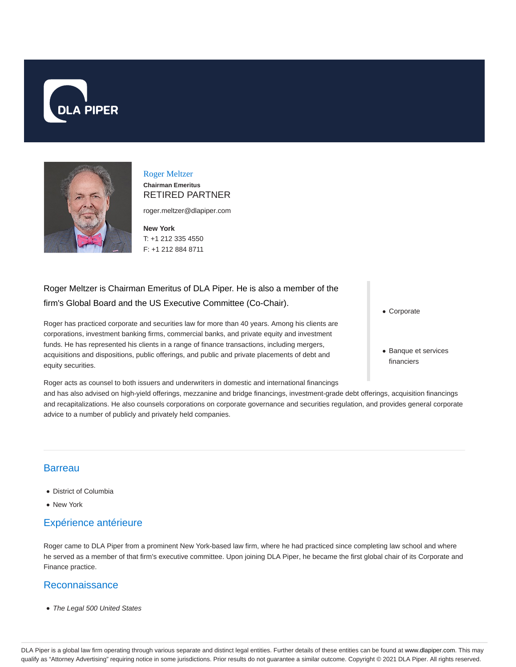



#### Roger Meltzer **Chairman Emeritus** RETIRED PARTNER

roger.meltzer@dlapiper.com

**New York** T: +1 212 335 4550 F: +1 212 884 8711

# Roger Meltzer is Chairman Emeritus of DLA Piper. He is also a member of the firm's Global Board and the US Executive Committee (Co-Chair).

Roger has practiced corporate and securities law for more than 40 years. Among his clients are corporations, investment banking firms, commercial banks, and private equity and investment funds. He has represented his clients in a range of finance transactions, including mergers, acquisitions and dispositions, public offerings, and public and private placements of debt and equity securities.

Roger acts as counsel to both issuers and underwriters in domestic and international financings and has also advised on high-yield offerings, mezzanine and bridge financings, investment-grade debt offerings, acquisition financings and recapitalizations. He also counsels corporations on corporate governance and securities regulation, and provides general corporate advice to a number of publicly and privately held companies.

# **Barreau**

- District of Columbia
- New York

# Expérience antérieure

Roger came to DLA Piper from a prominent New York-based law firm, where he had practiced since completing law school and where he served as a member of that firm's executive committee. Upon joining DLA Piper, he became the first global chair of its Corporate and Finance practice.

## Reconnaissance

• The Legal 500 United States

- Corporate
- Banque et services financiers